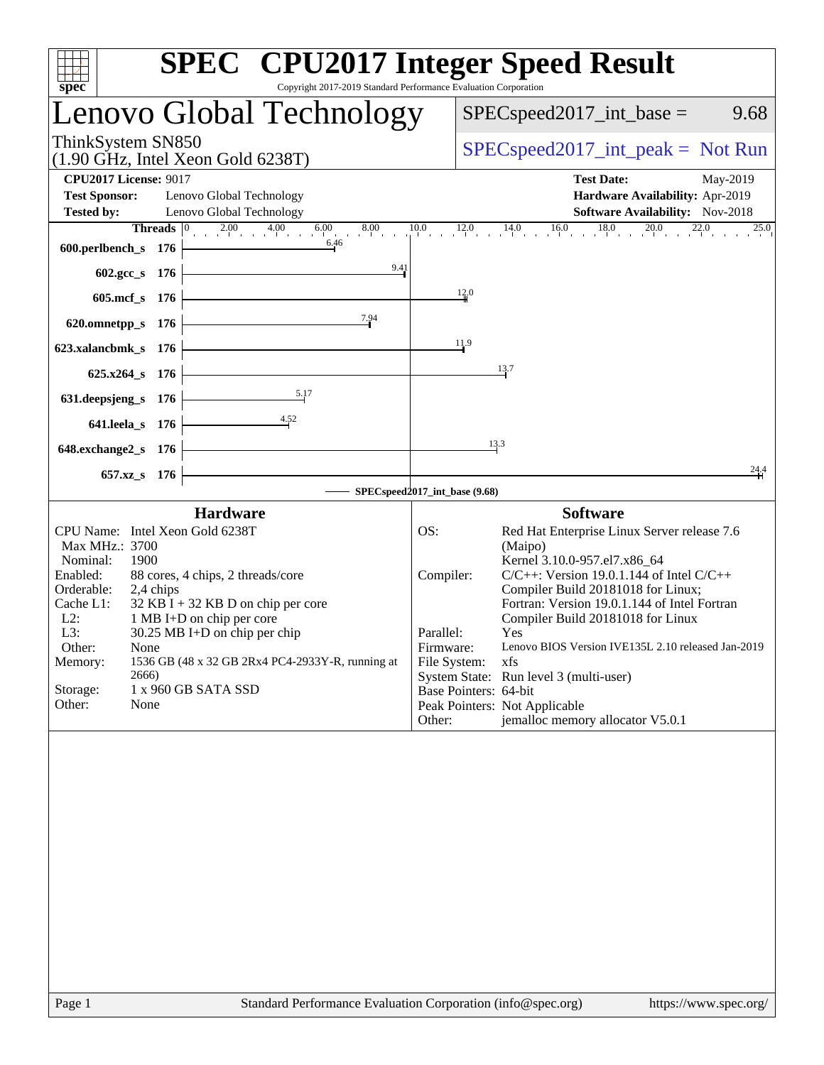| $spec^*$                   |                                                                                  | <b>SPEC<sup>®</sup></b> CPU2017 Integer Speed Result<br>Copyright 2017-2019 Standard Performance Evaluation Corporation       |                       |                                               |                                                    |  |  |
|----------------------------|----------------------------------------------------------------------------------|-------------------------------------------------------------------------------------------------------------------------------|-----------------------|-----------------------------------------------|----------------------------------------------------|--|--|
|                            |                                                                                  | Lenovo Global Technology                                                                                                      |                       | $SPEC speed2017\_int\_base =$                 | 9.68                                               |  |  |
|                            | ThinkSystem SN850<br>$(1.90 \text{ GHz}, \text{Intel Xeon Gold } 6238 \text{T})$ |                                                                                                                               |                       |                                               | $SPEC speed2017\_int\_peak = Not Run$              |  |  |
|                            | <b>CPU2017 License: 9017</b>                                                     |                                                                                                                               |                       | <b>Test Date:</b>                             | May-2019                                           |  |  |
| <b>Test Sponsor:</b>       | Lenovo Global Technology                                                         |                                                                                                                               |                       |                                               | Hardware Availability: Apr-2019                    |  |  |
| <b>Tested by:</b>          | Lenovo Global Technology                                                         |                                                                                                                               |                       |                                               | Software Availability: Nov-2018                    |  |  |
|                            |                                                                                  | <b>Threads</b> $\begin{bmatrix} 0 & 2.00 & 4.00 & 6.00 & 8.00 & 10.0 & 12.0 & 14.0 & 16.0 & 18.0 & 20.0 & 22.0 \end{bmatrix}$ |                       |                                               |                                                    |  |  |
| $600.$ perlbench_s 176     |                                                                                  | $\begin{array}{c c}\n\hline\n6.46\n\end{array}$                                                                               |                       |                                               |                                                    |  |  |
|                            | 602.gcc_s 176                                                                    | 9.41<br><u> 1989 - Johann Barn, mars ann an t-Amhair an t-Amhair an t-Amhair an t-Amhair an t-Amhair an t-Amhair an t-Amh</u> |                       |                                               |                                                    |  |  |
|                            | 605.mcf_s 176                                                                    |                                                                                                                               | 12.0                  |                                               |                                                    |  |  |
|                            | 620.omnetpp_s $176$                                                              | 7.94                                                                                                                          |                       |                                               |                                                    |  |  |
| 623.xalancbmk_s $176$      |                                                                                  |                                                                                                                               | 11.9                  |                                               |                                                    |  |  |
|                            | $625.x264_s$ 176                                                                 |                                                                                                                               |                       | 13.7                                          |                                                    |  |  |
| 631. deepsjeng_s $176$     | 5.17                                                                             |                                                                                                                               |                       |                                               |                                                    |  |  |
|                            | $\overline{\phantom{1}}$ 4.52<br>$641.$ leela_s $176$                            |                                                                                                                               |                       |                                               |                                                    |  |  |
| 648.exchange2_s 176        |                                                                                  | <u> 1989 - Johann Stoff, Amerikaansk politiker (</u>                                                                          | 13.3                  |                                               |                                                    |  |  |
|                            | 657.xz_s 176                                                                     |                                                                                                                               |                       |                                               | 24.4                                               |  |  |
|                            |                                                                                  | SPECspeed2017_int_base (9.68)                                                                                                 |                       |                                               |                                                    |  |  |
|                            | <b>Hardware</b>                                                                  |                                                                                                                               |                       | <b>Software</b>                               |                                                    |  |  |
|                            | CPU Name: Intel Xeon Gold 6238T                                                  |                                                                                                                               | OS:                   | Red Hat Enterprise Linux Server release 7.6   |                                                    |  |  |
| Max MHz.: 3700<br>Nominal: | 1900                                                                             |                                                                                                                               |                       | (Maipo)<br>Kernel 3.10.0-957.el7.x86_64       |                                                    |  |  |
| Enabled:                   | 88 cores, 4 chips, 2 threads/core                                                |                                                                                                                               | Compiler:             | $C/C++$ : Version 19.0.1.144 of Intel $C/C++$ |                                                    |  |  |
| Orderable:                 | 2,4 chips                                                                        |                                                                                                                               |                       | Compiler Build 20181018 for Linux;            |                                                    |  |  |
| Cache L1:                  | $32$ KB I + 32 KB D on chip per core                                             |                                                                                                                               |                       | Fortran: Version 19.0.1.144 of Intel Fortran  |                                                    |  |  |
| $L2$ :<br>L3:              | 1 MB I+D on chip per core<br>$30.25 \text{ MB}$ I+D on chip per chip             |                                                                                                                               | Parallel:             | Compiler Build 20181018 for Linux<br>Yes      |                                                    |  |  |
| Other:                     | None                                                                             |                                                                                                                               | Firmware:             |                                               | Lenovo BIOS Version IVE135L 2.10 released Jan-2019 |  |  |
| Memory:                    |                                                                                  | 1536 GB (48 x 32 GB 2Rx4 PC4-2933Y-R, running at                                                                              | File System:          | xfs                                           |                                                    |  |  |
| Storage:                   | 2666)<br>1 x 960 GB SATA SSD                                                     |                                                                                                                               | Base Pointers: 64-bit | System State: Run level 3 (multi-user)        |                                                    |  |  |
| Other:                     | None                                                                             |                                                                                                                               |                       | Peak Pointers: Not Applicable                 |                                                    |  |  |
|                            |                                                                                  |                                                                                                                               | Other:                | jemalloc memory allocator V5.0.1              |                                                    |  |  |
|                            |                                                                                  |                                                                                                                               |                       |                                               |                                                    |  |  |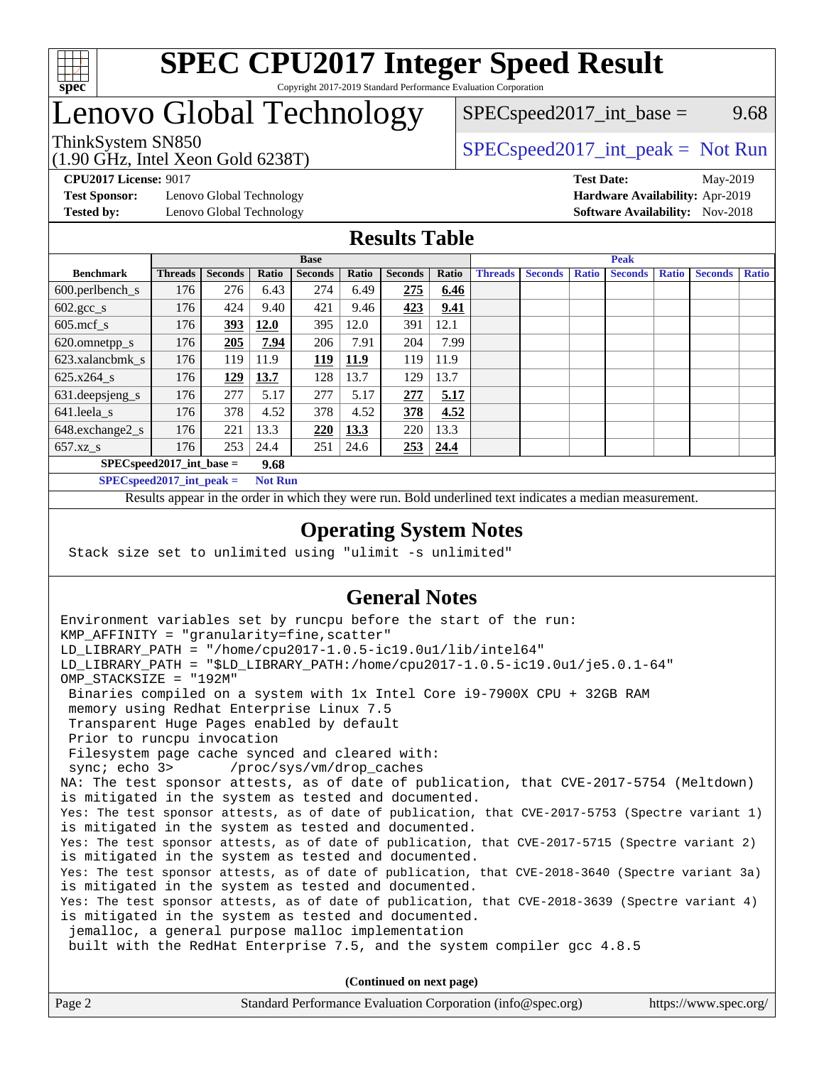

## Lenovo Global Technology

 $SPEC speed2017\_int\_base =$  9.68

(1.90 GHz, Intel Xeon Gold 6238T) ThinkSystem SN850<br>(1.00 CHz, Intel Year Gald 6228T) [SPECspeed2017\\_int\\_peak =](http://www.spec.org/auto/cpu2017/Docs/result-fields.html#SPECspeed2017intpeak) Not Run

**[Test Sponsor:](http://www.spec.org/auto/cpu2017/Docs/result-fields.html#TestSponsor)** Lenovo Global Technology **[Hardware Availability:](http://www.spec.org/auto/cpu2017/Docs/result-fields.html#HardwareAvailability)** Apr-2019 **[Tested by:](http://www.spec.org/auto/cpu2017/Docs/result-fields.html#Testedby)** Lenovo Global Technology **[Software Availability:](http://www.spec.org/auto/cpu2017/Docs/result-fields.html#SoftwareAvailability)** Nov-2018

**[CPU2017 License:](http://www.spec.org/auto/cpu2017/Docs/result-fields.html#CPU2017License)** 9017 **[Test Date:](http://www.spec.org/auto/cpu2017/Docs/result-fields.html#TestDate)** May-2019

### **[Results Table](http://www.spec.org/auto/cpu2017/Docs/result-fields.html#ResultsTable)**

|                                      | <b>Base</b>    |                |       |                |       |                | <b>Peak</b>     |                |                |              |                |              |                |              |
|--------------------------------------|----------------|----------------|-------|----------------|-------|----------------|-----------------|----------------|----------------|--------------|----------------|--------------|----------------|--------------|
| <b>Benchmark</b>                     | <b>Threads</b> | <b>Seconds</b> | Ratio | <b>Seconds</b> | Ratio | <b>Seconds</b> | Ratio           | <b>Threads</b> | <b>Seconds</b> | <b>Ratio</b> | <b>Seconds</b> | <b>Ratio</b> | <b>Seconds</b> | <b>Ratio</b> |
| 600.perlbench_s                      | 176            | 276            | 6.43  | 274            | 6.49  | 275            | 6.46            |                |                |              |                |              |                |              |
| $602 \text{.} \text{gcc}\text{_<}$ s | 176            | 424            | 9.40  | 421            | 9.46  | 423            | 9.41            |                |                |              |                |              |                |              |
| $605$ .mcf s                         | 176            | 393            | 12.0  | 395            | 12.0  | 391            | 12.1            |                |                |              |                |              |                |              |
| 620.omnetpp_s                        | 176            | 205            | 7.94  | 206            | 7.91  | 204            | 7.99            |                |                |              |                |              |                |              |
| 623.xalancbmk s                      | 176            | 119            | 11.9  | <u>119</u>     | 11.9  | 119            | 11.9            |                |                |              |                |              |                |              |
| 625.x264 s                           | 176            | 129            | 13.7  | 128            | 13.7  | 129            | 13.7            |                |                |              |                |              |                |              |
| 631.deepsjeng_s                      | 176            | 277            | 5.17  | 277            | 5.17  | 277            | 5.17            |                |                |              |                |              |                |              |
| 641.leela s                          | 176            | 378            | 4.52  | 378            | 4.52  | 378            | 4.52            |                |                |              |                |              |                |              |
| 648.exchange2_s                      | 176            | 221            | 13.3  | 220            | 13.3  | 220            | 13.3            |                |                |              |                |              |                |              |
| $657.xz$ s                           | 176            | 253            | 24.4  | 251            | 24.6  |                | $253 \mid 24.4$ |                |                |              |                |              |                |              |
| $SPECspeed2017$ int base =<br>9.68   |                |                |       |                |       |                |                 |                |                |              |                |              |                |              |

**[SPECspeed2017\\_int\\_peak =](http://www.spec.org/auto/cpu2017/Docs/result-fields.html#SPECspeed2017intpeak) Not Run**

Results appear in the [order in which they were run.](http://www.spec.org/auto/cpu2017/Docs/result-fields.html#RunOrder) Bold underlined text [indicates a median measurement.](http://www.spec.org/auto/cpu2017/Docs/result-fields.html#Median)

### **[Operating System Notes](http://www.spec.org/auto/cpu2017/Docs/result-fields.html#OperatingSystemNotes)**

Stack size set to unlimited using "ulimit -s unlimited"

### **[General Notes](http://www.spec.org/auto/cpu2017/Docs/result-fields.html#GeneralNotes)**

Environment variables set by runcpu before the start of the run: KMP AFFINITY = "granularity=fine, scatter" LD\_LIBRARY\_PATH = "/home/cpu2017-1.0.5-ic19.0u1/lib/intel64" LD\_LIBRARY\_PATH = "\$LD\_LIBRARY\_PATH:/home/cpu2017-1.0.5-ic19.0u1/je5.0.1-64" OMP\_STACKSIZE = "192M" Binaries compiled on a system with 1x Intel Core i9-7900X CPU + 32GB RAM memory using Redhat Enterprise Linux 7.5 Transparent Huge Pages enabled by default Prior to runcpu invocation Filesystem page cache synced and cleared with: sync; echo 3> /proc/sys/vm/drop\_caches NA: The test sponsor attests, as of date of publication, that CVE-2017-5754 (Meltdown) is mitigated in the system as tested and documented. Yes: The test sponsor attests, as of date of publication, that CVE-2017-5753 (Spectre variant 1) is mitigated in the system as tested and documented. Yes: The test sponsor attests, as of date of publication, that CVE-2017-5715 (Spectre variant 2) is mitigated in the system as tested and documented. Yes: The test sponsor attests, as of date of publication, that CVE-2018-3640 (Spectre variant 3a) is mitigated in the system as tested and documented. Yes: The test sponsor attests, as of date of publication, that CVE-2018-3639 (Spectre variant 4) is mitigated in the system as tested and documented. jemalloc, a general purpose malloc implementation built with the RedHat Enterprise 7.5, and the system compiler gcc 4.8.5 **(Continued on next page)**

| Page 2 | Standard Performance Evaluation Corporation (info@spec.org) | https://www.spec.org/ |
|--------|-------------------------------------------------------------|-----------------------|
|        |                                                             |                       |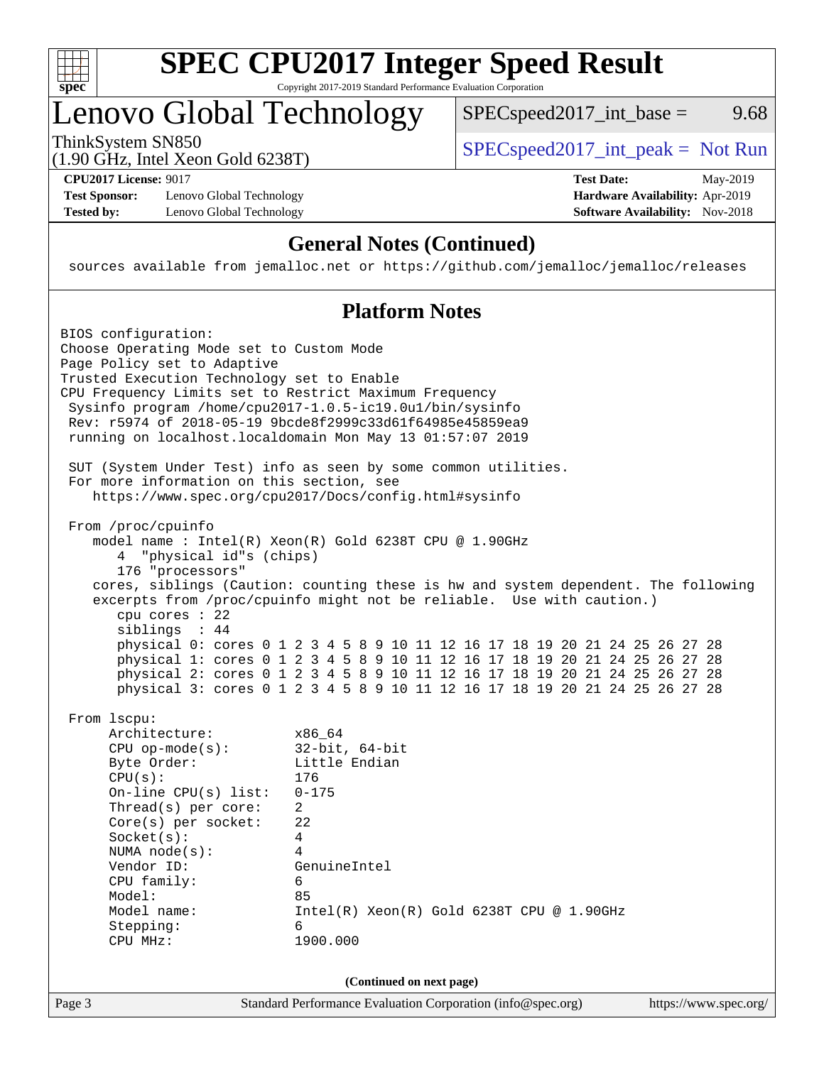

## Lenovo Global Technology

ThinkSystem SN850<br>(1.00 CHz, Intel Year Gald 6228T) [SPECspeed2017\\_int\\_peak =](http://www.spec.org/auto/cpu2017/Docs/result-fields.html#SPECspeed2017intpeak) Not Run

 $SPEC speed2017\_int\_base =$  9.68

(1.90 GHz, Intel Xeon Gold 6238T)

**[Test Sponsor:](http://www.spec.org/auto/cpu2017/Docs/result-fields.html#TestSponsor)** Lenovo Global Technology **[Hardware Availability:](http://www.spec.org/auto/cpu2017/Docs/result-fields.html#HardwareAvailability)** Apr-2019 **[Tested by:](http://www.spec.org/auto/cpu2017/Docs/result-fields.html#Testedby)** Lenovo Global Technology **[Software Availability:](http://www.spec.org/auto/cpu2017/Docs/result-fields.html#SoftwareAvailability)** Nov-2018

**[CPU2017 License:](http://www.spec.org/auto/cpu2017/Docs/result-fields.html#CPU2017License)** 9017 **[Test Date:](http://www.spec.org/auto/cpu2017/Docs/result-fields.html#TestDate)** May-2019

### **[General Notes \(Continued\)](http://www.spec.org/auto/cpu2017/Docs/result-fields.html#GeneralNotes)**

sources available from jemalloc.net or <https://github.com/jemalloc/jemalloc/releases>

### **[Platform Notes](http://www.spec.org/auto/cpu2017/Docs/result-fields.html#PlatformNotes)**

Page 3 Standard Performance Evaluation Corporation [\(info@spec.org\)](mailto:info@spec.org) <https://www.spec.org/> BIOS configuration: Choose Operating Mode set to Custom Mode Page Policy set to Adaptive Trusted Execution Technology set to Enable CPU Frequency Limits set to Restrict Maximum Frequency Sysinfo program /home/cpu2017-1.0.5-ic19.0u1/bin/sysinfo Rev: r5974 of 2018-05-19 9bcde8f2999c33d61f64985e45859ea9 running on localhost.localdomain Mon May 13 01:57:07 2019 SUT (System Under Test) info as seen by some common utilities. For more information on this section, see <https://www.spec.org/cpu2017/Docs/config.html#sysinfo> From /proc/cpuinfo model name : Intel(R) Xeon(R) Gold 6238T CPU @ 1.90GHz 4 "physical id"s (chips) 176 "processors" cores, siblings (Caution: counting these is hw and system dependent. The following excerpts from /proc/cpuinfo might not be reliable. Use with caution.) cpu cores : 22 siblings : 44 physical 0: cores 0 1 2 3 4 5 8 9 10 11 12 16 17 18 19 20 21 24 25 26 27 28 physical 1: cores 0 1 2 3 4 5 8 9 10 11 12 16 17 18 19 20 21 24 25 26 27 28 physical 2: cores 0 1 2 3 4 5 8 9 10 11 12 16 17 18 19 20 21 24 25 26 27 28 physical 3: cores 0 1 2 3 4 5 8 9 10 11 12 16 17 18 19 20 21 24 25 26 27 28 From lscpu: Architecture: x86\_64 CPU op-mode(s): 32-bit, 64-bit Byte Order: Little Endian CPU(s): 176 On-line CPU(s) list: 0-175 Thread(s) per core: 2 Core(s) per socket: 22 Socket(s): 4 NUMA node(s): 4 Vendor ID: GenuineIntel CPU family: 6 Model: 85 Model name: Intel(R) Xeon(R) Gold 6238T CPU @ 1.90GHz Stepping: 6 CPU MHz: 1900.000 **(Continued on next page)**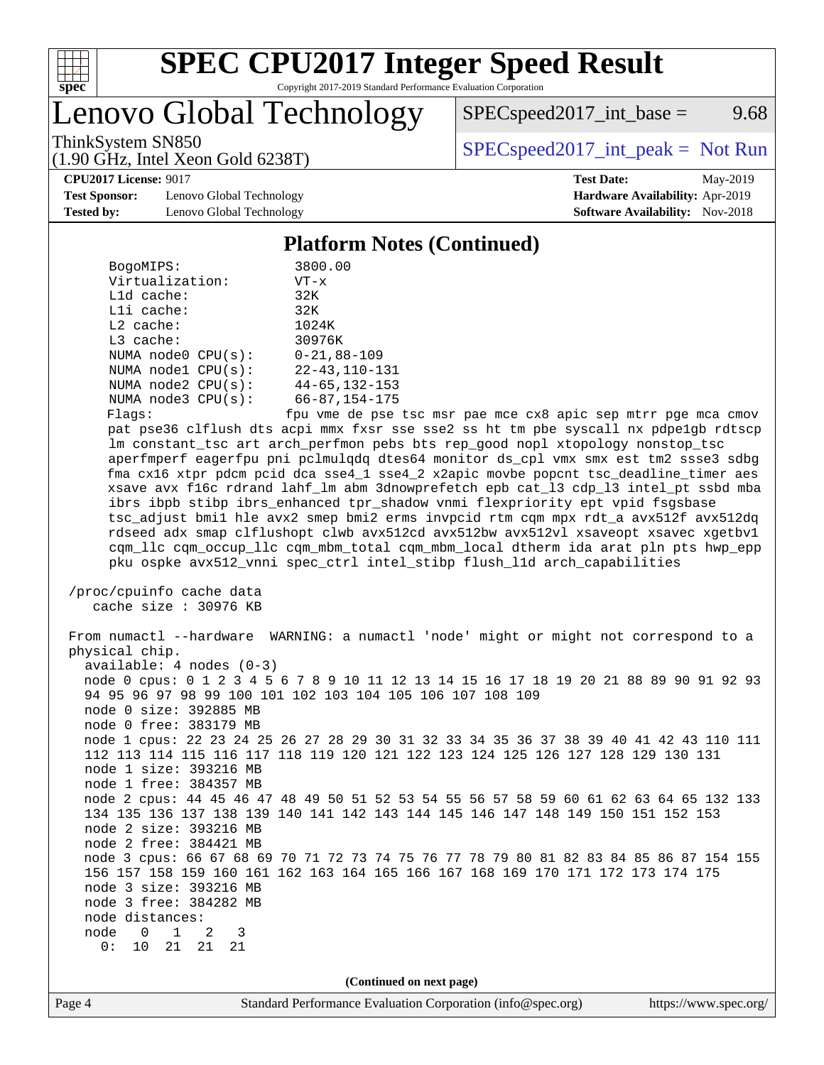

Lenovo Global Technology

 $SPEC speed2017\_int\_base =$  9.68

ThinkSystem SN850<br>(1.00 CHz, Intel Year Gald 6228T) [SPECspeed2017\\_int\\_peak =](http://www.spec.org/auto/cpu2017/Docs/result-fields.html#SPECspeed2017intpeak) Not Run

#### **[CPU2017 License:](http://www.spec.org/auto/cpu2017/Docs/result-fields.html#CPU2017License)** 9017 **[Test Date:](http://www.spec.org/auto/cpu2017/Docs/result-fields.html#TestDate)** May-2019

**[Test Sponsor:](http://www.spec.org/auto/cpu2017/Docs/result-fields.html#TestSponsor)** Lenovo Global Technology **[Hardware Availability:](http://www.spec.org/auto/cpu2017/Docs/result-fields.html#HardwareAvailability)** Apr-2019 **[Tested by:](http://www.spec.org/auto/cpu2017/Docs/result-fields.html#Testedby)** Lenovo Global Technology **[Software Availability:](http://www.spec.org/auto/cpu2017/Docs/result-fields.html#SoftwareAvailability)** Nov-2018

(1.90 GHz, Intel Xeon Gold 6238T)

### **[Platform Notes \(Continued\)](http://www.spec.org/auto/cpu2017/Docs/result-fields.html#PlatformNotes)**

| BogoMIPS:               | 3800.00                 |
|-------------------------|-------------------------|
| Virtualization:         | $VT - x$                |
| $L1d$ cache:            | 32K                     |
| $L1i$ cache:            | 32K                     |
| $L2$ cache:             | 1024K                   |
| $L3$ cache:             | 30976K                  |
| NUMA $node0$ $CPU(s)$ : | $0 - 21.88 - 109$       |
| NUMA nodel CPU(s):      | $22 - 43, 110 - 131$    |
| NUMA $node2$ $CPU(s)$ : | $44 - 65, 132 - 153$    |
| NUMA node3 CPU(s):      | $66 - 87, 154 - 175$    |
| $1.7 - 1.7$             | المستدامة المتسد المحمد |

Flags: fpu vme de pse tsc msr pae mce cx8 apic sep mtrr pge mca cmov pat pse36 clflush dts acpi mmx fxsr sse sse2 ss ht tm pbe syscall nx pdpe1gb rdtscp lm constant\_tsc art arch\_perfmon pebs bts rep\_good nopl xtopology nonstop\_tsc aperfmperf eagerfpu pni pclmulqdq dtes64 monitor ds\_cpl vmx smx est tm2 ssse3 sdbg fma cx16 xtpr pdcm pcid dca sse4\_1 sse4\_2 x2apic movbe popcnt tsc\_deadline\_timer aes xsave avx f16c rdrand lahf\_lm abm 3dnowprefetch epb cat\_l3 cdp\_l3 intel\_pt ssbd mba ibrs ibpb stibp ibrs\_enhanced tpr\_shadow vnmi flexpriority ept vpid fsgsbase tsc\_adjust bmi1 hle avx2 smep bmi2 erms invpcid rtm cqm mpx rdt\_a avx512f avx512dq rdseed adx smap clflushopt clwb avx512cd avx512bw avx512vl xsaveopt xsavec xgetbv1 cqm\_llc cqm\_occup\_llc cqm\_mbm\_total cqm\_mbm\_local dtherm ida arat pln pts hwp\_epp pku ospke avx512\_vnni spec\_ctrl intel\_stibp flush\_l1d arch\_capabilities

 /proc/cpuinfo cache data cache size : 30976 KB

 From numactl --hardware WARNING: a numactl 'node' might or might not correspond to a physical chip. available: 4 nodes (0-3) node 0 cpus: 0 1 2 3 4 5 6 7 8 9 10 11 12 13 14 15 16 17 18 19 20 21 88 89 90 91 92 93 94 95 96 97 98 99 100 101 102 103 104 105 106 107 108 109 node 0 size: 392885 MB node 0 free: 383179 MB node 1 cpus: 22 23 24 25 26 27 28 29 30 31 32 33 34 35 36 37 38 39 40 41 42 43 110 111 112 113 114 115 116 117 118 119 120 121 122 123 124 125 126 127 128 129 130 131 node 1 size: 393216 MB node 1 free: 384357 MB node 2 cpus: 44 45 46 47 48 49 50 51 52 53 54 55 56 57 58 59 60 61 62 63 64 65 132 133 134 135 136 137 138 139 140 141 142 143 144 145 146 147 148 149 150 151 152 153 node 2 size: 393216 MB node 2 free: 384421 MB node 3 cpus: 66 67 68 69 70 71 72 73 74 75 76 77 78 79 80 81 82 83 84 85 86 87 154 155 156 157 158 159 160 161 162 163 164 165 166 167 168 169 170 171 172 173 174 175 node 3 size: 393216 MB node 3 free: 384282 MB node distances: node 0 1 2 3 0: 10 21 21 21

**(Continued on next page)**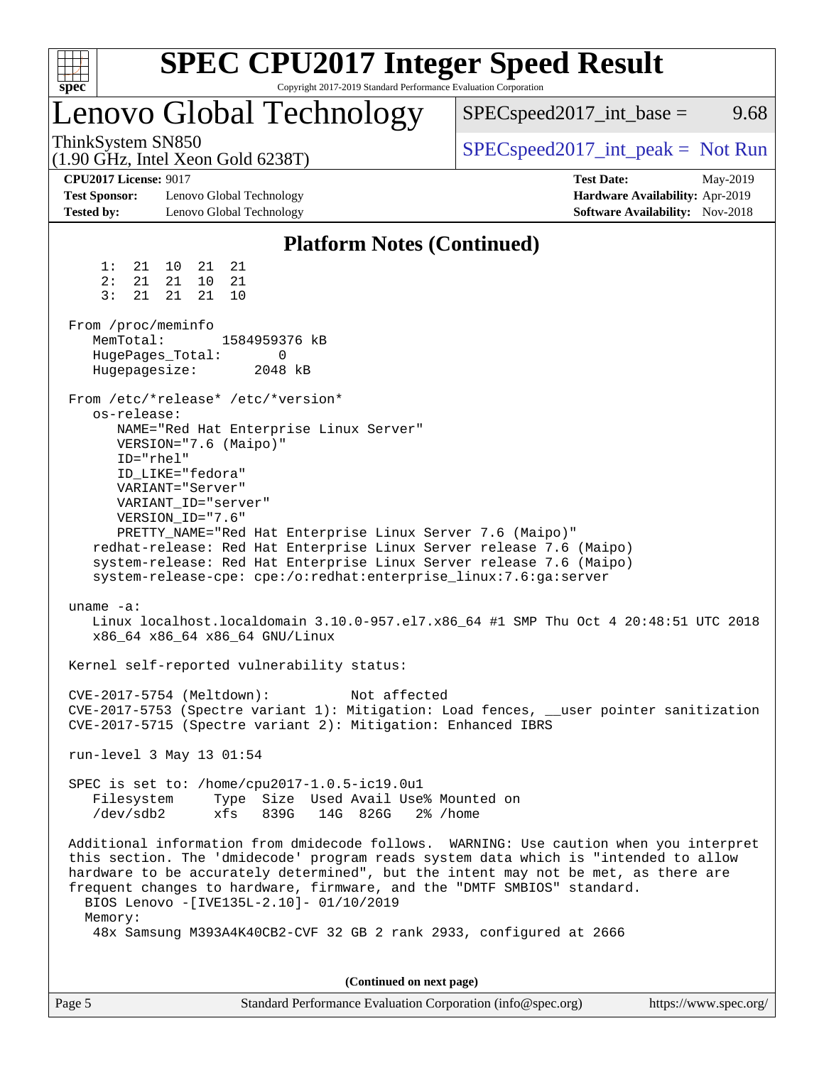| spec <sup>®</sup> |                                                                                  |                                                                                                          |                |                                    | Copyright 2017-2019 Standard Performance Evaluation Corporation                                                            | <b>SPEC CPU2017 Integer Speed Result</b>                                                                                                                                                                                                                                                                                                                                                                             |                   |                                                                    |          |
|-------------------|----------------------------------------------------------------------------------|----------------------------------------------------------------------------------------------------------|----------------|------------------------------------|----------------------------------------------------------------------------------------------------------------------------|----------------------------------------------------------------------------------------------------------------------------------------------------------------------------------------------------------------------------------------------------------------------------------------------------------------------------------------------------------------------------------------------------------------------|-------------------|--------------------------------------------------------------------|----------|
|                   |                                                                                  |                                                                                                          |                |                                    | Lenovo Global Technology                                                                                                   | $SPEC speed2017\_int\_base =$                                                                                                                                                                                                                                                                                                                                                                                        |                   |                                                                    | 9.68     |
|                   | ThinkSystem SN850<br>$(1.90 \text{ GHz}, \text{Intel Xeon Gold } 6238 \text{T})$ |                                                                                                          |                |                                    |                                                                                                                            | $SPEC speed2017\_int\_peak = Not Run$                                                                                                                                                                                                                                                                                                                                                                                |                   |                                                                    |          |
| <b>Tested by:</b> | <b>CPU2017 License: 9017</b><br><b>Test Sponsor:</b>                             | Lenovo Global Technology<br>Lenovo Global Technology                                                     |                |                                    |                                                                                                                            |                                                                                                                                                                                                                                                                                                                                                                                                                      | <b>Test Date:</b> | Hardware Availability: Apr-2019<br>Software Availability: Nov-2018 | May-2019 |
|                   |                                                                                  |                                                                                                          |                |                                    | <b>Platform Notes (Continued)</b>                                                                                          |                                                                                                                                                                                                                                                                                                                                                                                                                      |                   |                                                                    |          |
|                   | 1:<br>21<br>2:<br>21<br>3:<br>21                                                 | 10<br>21<br>21<br>10<br>21<br>21                                                                         | 21<br>21<br>10 |                                    |                                                                                                                            |                                                                                                                                                                                                                                                                                                                                                                                                                      |                   |                                                                    |          |
|                   | From /proc/meminfo<br>MemTotal:<br>HugePages_Total:<br>Hugepagesize:             |                                                                                                          |                | 1584959376 kB<br>0<br>2048 kB      |                                                                                                                            |                                                                                                                                                                                                                                                                                                                                                                                                                      |                   |                                                                    |          |
|                   | os-release:<br>ID="rhel"                                                         | VERSION="7.6 (Maipo)"<br>ID_LIKE="fedora"<br>VARIANT="Server"<br>VARIANT_ID="server"<br>VERSION_ID="7.6" |                | From /etc/*release* /etc/*version* | NAME="Red Hat Enterprise Linux Server"                                                                                     | PRETTY_NAME="Red Hat Enterprise Linux Server 7.6 (Maipo)"<br>redhat-release: Red Hat Enterprise Linux Server release 7.6 (Maipo)<br>system-release: Red Hat Enterprise Linux Server release 7.6 (Maipo)<br>system-release-cpe: cpe:/o:redhat:enterprise_linux:7.6:ga:server                                                                                                                                          |                   |                                                                    |          |
|                   | uname $-a$ :                                                                     |                                                                                                          |                | x86_64 x86_64 x86_64 GNU/Linux     |                                                                                                                            | Linux localhost.localdomain 3.10.0-957.el7.x86_64 #1 SMP Thu Oct 4 20:48:51 UTC 2018                                                                                                                                                                                                                                                                                                                                 |                   |                                                                    |          |
|                   |                                                                                  |                                                                                                          |                |                                    | Kernel self-reported vulnerability status:                                                                                 |                                                                                                                                                                                                                                                                                                                                                                                                                      |                   |                                                                    |          |
|                   | CVE-2017-5754 (Meltdown):                                                        |                                                                                                          |                |                                    | Not affected                                                                                                               | CVE-2017-5753 (Spectre variant 1): Mitigation: Load fences, __user pointer sanitization<br>CVE-2017-5715 (Spectre variant 2): Mitigation: Enhanced IBRS                                                                                                                                                                                                                                                              |                   |                                                                    |          |
|                   | run-level 3 May 13 01:54                                                         |                                                                                                          |                |                                    |                                                                                                                            |                                                                                                                                                                                                                                                                                                                                                                                                                      |                   |                                                                    |          |
|                   | /dev/sdb2                                                                        |                                                                                                          | xfs            |                                    | SPEC is set to: /home/cpu2017-1.0.5-ic19.0u1<br>Filesystem Type Size Used Avail Use% Mounted on<br>839G 14G 826G 2% / home |                                                                                                                                                                                                                                                                                                                                                                                                                      |                   |                                                                    |          |
|                   | Memory:                                                                          |                                                                                                          |                |                                    | BIOS Lenovo -[IVE135L-2.10]- 01/10/2019                                                                                    | Additional information from dmidecode follows. WARNING: Use caution when you interpret<br>this section. The 'dmidecode' program reads system data which is "intended to allow<br>hardware to be accurately determined", but the intent may not be met, as there are<br>frequent changes to hardware, firmware, and the "DMTF SMBIOS" standard.<br>48x Samsung M393A4K40CB2-CVF 32 GB 2 rank 2933, configured at 2666 |                   |                                                                    |          |
|                   |                                                                                  |                                                                                                          |                |                                    |                                                                                                                            |                                                                                                                                                                                                                                                                                                                                                                                                                      |                   |                                                                    |          |

**(Continued on next page)**

| Page 5 | Standard Performance Evaluation Corporation (info@spec.org) | https://www.spec.org/ |
|--------|-------------------------------------------------------------|-----------------------|
|--------|-------------------------------------------------------------|-----------------------|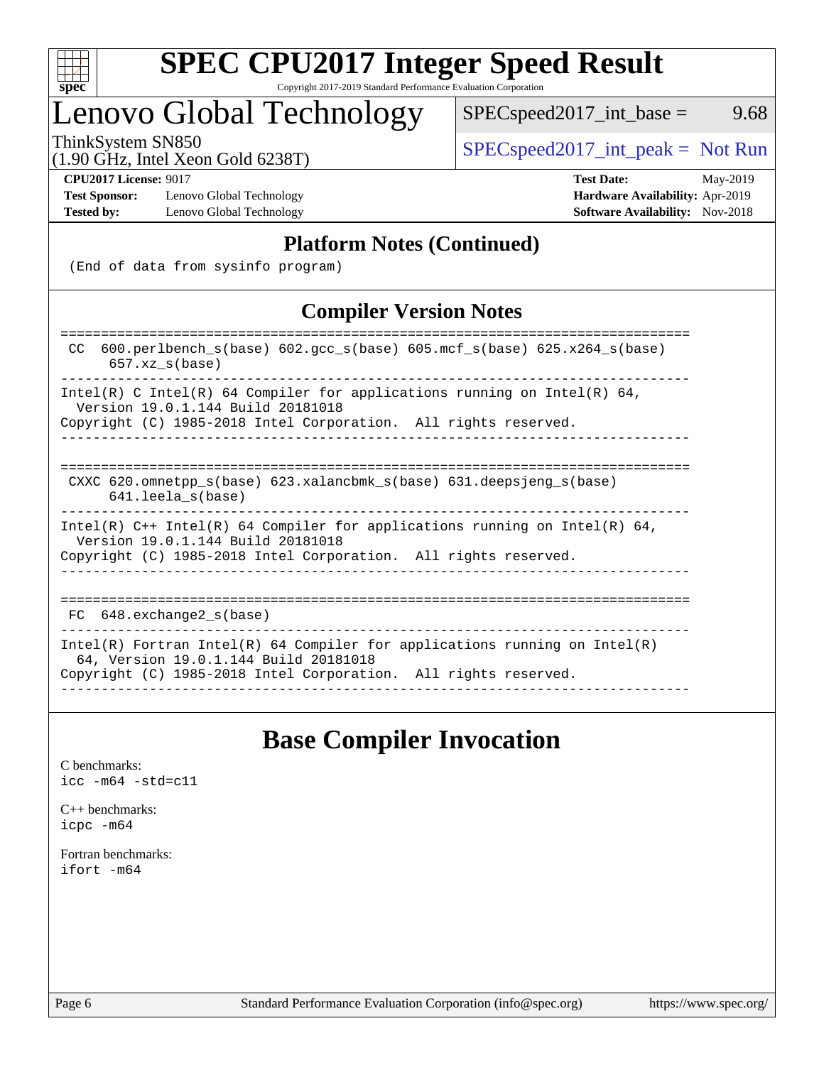

# **[SPEC CPU2017 Integer Speed Result](http://www.spec.org/auto/cpu2017/Docs/result-fields.html#SPECCPU2017IntegerSpeedResult)**

Copyright 2017-2019 Standard Performance Evaluation Corporation

## Lenovo Global Technology

ThinkSystem SN850<br>(1.00 GHz, Intel Year Gold 6238T) [SPECspeed2017\\_int\\_peak =](http://www.spec.org/auto/cpu2017/Docs/result-fields.html#SPECspeed2017intpeak) Not Run

 $SPEC speed2017\_int\_base =$  9.68

#### (1.90 GHz, Intel Xeon Gold 6238T)

**[Test Sponsor:](http://www.spec.org/auto/cpu2017/Docs/result-fields.html#TestSponsor)** Lenovo Global Technology **[Hardware Availability:](http://www.spec.org/auto/cpu2017/Docs/result-fields.html#HardwareAvailability)** Apr-2019 **[Tested by:](http://www.spec.org/auto/cpu2017/Docs/result-fields.html#Testedby)** Lenovo Global Technology **[Software Availability:](http://www.spec.org/auto/cpu2017/Docs/result-fields.html#SoftwareAvailability)** Nov-2018

**[CPU2017 License:](http://www.spec.org/auto/cpu2017/Docs/result-fields.html#CPU2017License)** 9017 **[Test Date:](http://www.spec.org/auto/cpu2017/Docs/result-fields.html#TestDate)** May-2019

### **[Platform Notes \(Continued\)](http://www.spec.org/auto/cpu2017/Docs/result-fields.html#PlatformNotes)**

(End of data from sysinfo program)

### **[Compiler Version Notes](http://www.spec.org/auto/cpu2017/Docs/result-fields.html#CompilerVersionNotes)**

| 600.perlbench $s(base)$ 602.qcc $s(base)$ 605.mcf $s(base)$ 625.x264 $s(base)$<br>CC.<br>$657.xx$ s(base)                                                                              |
|----------------------------------------------------------------------------------------------------------------------------------------------------------------------------------------|
| Intel(R) C Intel(R) 64 Compiler for applications running on Intel(R) 64,<br>Version 19.0.1.144 Build 20181018<br>Copyright (C) 1985-2018 Intel Corporation. All rights reserved.       |
| CXXC 620. omnetpp $s(base)$ 623. xalancbmk $s(base)$ 631. deepsjeng $s(base)$<br>$641.$ leela $s(base)$                                                                                |
| Intel(R) $C++$ Intel(R) 64 Compiler for applications running on Intel(R) 64,<br>Version 19.0.1.144 Build 20181018<br>Copyright (C) 1985-2018 Intel Corporation. All rights reserved.   |
| FC 648. exchange2 s(base)                                                                                                                                                              |
| Intel(R) Fortran Intel(R) 64 Compiler for applications running on Intel(R)<br>64, Version 19.0.1.144 Build 20181018<br>Copyright (C) 1985-2018 Intel Corporation. All rights reserved. |

### **[Base Compiler Invocation](http://www.spec.org/auto/cpu2017/Docs/result-fields.html#BaseCompilerInvocation)**

[C benchmarks](http://www.spec.org/auto/cpu2017/Docs/result-fields.html#Cbenchmarks): [icc -m64 -std=c11](http://www.spec.org/cpu2017/results/res2019q2/cpu2017-20190610-15005.flags.html#user_CCbase_intel_icc_64bit_c11_33ee0cdaae7deeeab2a9725423ba97205ce30f63b9926c2519791662299b76a0318f32ddfffdc46587804de3178b4f9328c46fa7c2b0cd779d7a61945c91cd35)

[C++ benchmarks:](http://www.spec.org/auto/cpu2017/Docs/result-fields.html#CXXbenchmarks) [icpc -m64](http://www.spec.org/cpu2017/results/res2019q2/cpu2017-20190610-15005.flags.html#user_CXXbase_intel_icpc_64bit_4ecb2543ae3f1412ef961e0650ca070fec7b7afdcd6ed48761b84423119d1bf6bdf5cad15b44d48e7256388bc77273b966e5eb805aefd121eb22e9299b2ec9d9)

[Fortran benchmarks](http://www.spec.org/auto/cpu2017/Docs/result-fields.html#Fortranbenchmarks): [ifort -m64](http://www.spec.org/cpu2017/results/res2019q2/cpu2017-20190610-15005.flags.html#user_FCbase_intel_ifort_64bit_24f2bb282fbaeffd6157abe4f878425411749daecae9a33200eee2bee2fe76f3b89351d69a8130dd5949958ce389cf37ff59a95e7a40d588e8d3a57e0c3fd751)